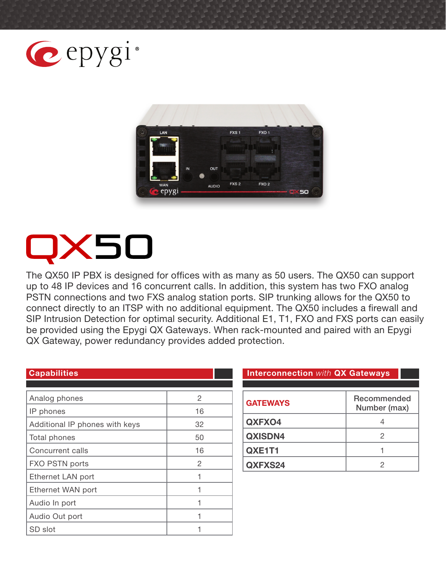



# **<50**

The QX50 IP PBX is designed for offices with as many as 50 users. The QX50 can support up to 48 IP devices and 16 concurrent calls. In addition, this system has two FXO analog PSTN connections and two FXS analog station ports. SIP trunking allows for the QX50 to connect directly to an ITSP with no additional equipment. The QX50 includes a firewall and SIP Intrusion Detection for optimal security. Additional E1, T1, FXO and FXS ports can easily be provided using the Epygi QX Gateways. When rack-mounted and paired with an Epygi QX Gateway, power redundancy provides added protection.

| <b>Capabilities</b>            |    |
|--------------------------------|----|
|                                |    |
| Analog phones                  | 2  |
| IP phones                      | 16 |
| Additional IP phones with keys | 32 |
| Total phones                   | 50 |
| Concurrent calls               | 16 |
| FXO PSTN ports                 | 2  |
| Ethernet LAN port              | 1  |
| Ethernet WAN port              |    |
| Audio In port                  |    |
| Audio Out port                 |    |
| SD slot                        |    |

#### **Interconnection with QX Gateways**

| <b>GATEWAYS</b> | Recommended<br>Number (max) |
|-----------------|-----------------------------|
| QXFXO4          |                             |
| <b>QXISDN4</b>  |                             |
| QXE1T1          |                             |
| QXFXS24         |                             |